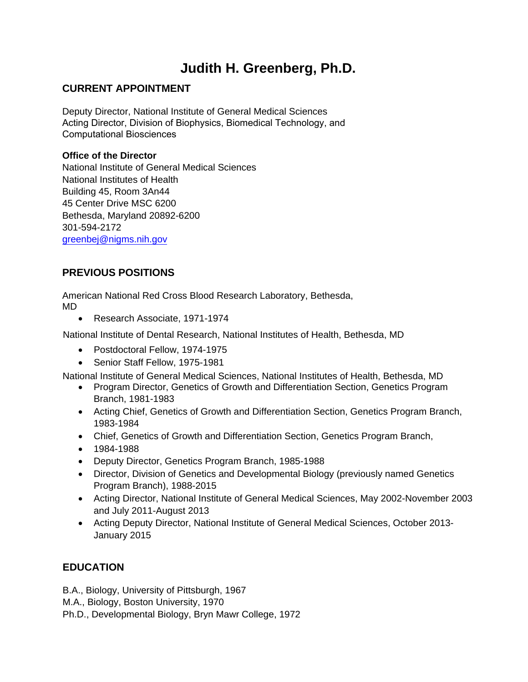# **Judith H. Greenberg, Ph.D.**

## **CURRENT APPOINTMENT**

Deputy Director, National Institute of General Medical Sciences Acting Director, Division of Biophysics, Biomedical Technology, and Computational Biosciences

#### **Office of the Director**

National Institute of General Medical Sciences National Institutes of Health Building 45, Room 3An44 45 Center Drive MSC 6200 Bethesda, Maryland 20892-6200 301-594-2172 [greenbej@nigms.nih.gov](mailto:greenbej@nigms.nih.gov)

# **PREVIOUS POSITIONS**

American National Red Cross Blood Research Laboratory, Bethesda, MD

• Research Associate, 1971-1974

National Institute of Dental Research, National Institutes of Health, Bethesda, MD

- Postdoctoral Fellow, 1974-1975
- Senior Staff Fellow, 1975-1981

National Institute of General Medical Sciences, National Institutes of Health, Bethesda, MD

- Program Director, Genetics of Growth and Differentiation Section, Genetics Program Branch, 1981-1983
- Acting Chief, Genetics of Growth and Differentiation Section, Genetics Program Branch, 1983-1984
- Chief, Genetics of Growth and Differentiation Section, Genetics Program Branch,
- 1984-1988
- Deputy Director, Genetics Program Branch, 1985-1988
- Director, Division of Genetics and Developmental Biology (previously named Genetics Program Branch), 1988-2015
- Acting Director, National Institute of General Medical Sciences, May 2002-November 2003 and July 2011-August 2013
- Acting Deputy Director, National Institute of General Medical Sciences, October 2013- January 2015

# **EDUCATION**

B.A., Biology, University of Pittsburgh, 1967

M.A., Biology, Boston University, 1970

Ph.D., Developmental Biology, Bryn Mawr College, 1972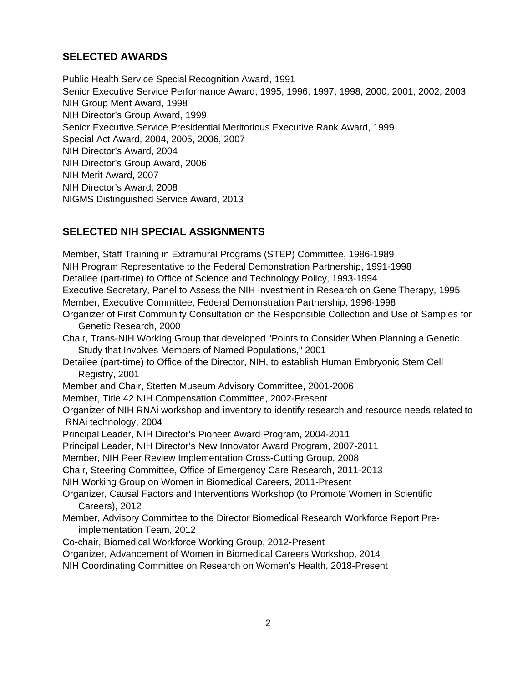## **SELECTED AWARDS**

Public Health Service Special Recognition Award, 1991 Senior Executive Service Performance Award, 1995, 1996, 1997, 1998, 2000, 2001, 2002, 2003 NIH Group Merit Award, 1998 NIH Director's Group Award, 1999 Senior Executive Service Presidential Meritorious Executive Rank Award, 1999 Special Act Award, 2004, 2005, 2006, 2007 NIH Director's Award, 2004 NIH Director's Group Award, 2006 NIH Merit Award, 2007 NIH Director's Award, 2008 NIGMS Distinguished Service Award, 2013

## **SELECTED NIH SPECIAL ASSIGNMENTS**

Member, Staff Training in Extramural Programs (STEP) Committee, 1986-1989 NIH Program Representative to the Federal Demonstration Partnership, 1991-1998 Detailee (part-time) to Office of Science and Technology Policy, 1993-1994 Executive Secretary, Panel to Assess the NIH Investment in Research on Gene Therapy, 1995 Member, Executive Committee, Federal Demonstration Partnership, 1996-1998 Organizer of First Community Consultation on the Responsible Collection and Use of Samples for Genetic Research, 2000 Chair, Trans-NIH Working Group that developed "Points to Consider When Planning a Genetic Study that Involves Members of Named Populations," 2001 Detailee (part-time) to Office of the Director, NIH, to establish Human Embryonic Stem Cell Registry, 2001 Member and Chair, Stetten Museum Advisory Committee, 2001-2006 Member, Title 42 NIH Compensation Committee, 2002-Present Organizer of NIH RNAi workshop and inventory to identify research and resource needs related to RNAi technology, 2004 Principal Leader, NIH Director's Pioneer Award Program, 2004-2011 Principal Leader, NIH Director's New Innovator Award Program, 2007-2011 Member, NIH Peer Review Implementation Cross-Cutting Group, 2008 Chair, Steering Committee, Office of Emergency Care Research, 2011-2013 NIH Working Group on Women in Biomedical Careers, 2011-Present Organizer, Causal Factors and Interventions Workshop (to Promote Women in Scientific Careers), 2012 Member, Advisory Committee to the Director Biomedical Research Workforce Report Preimplementation Team, 2012 Co-chair, Biomedical Workforce Working Group, 2012-Present Organizer, Advancement of Women in Biomedical Careers Workshop, 2014 NIH Coordinating Committee on Research on Women's Health, 2018-Present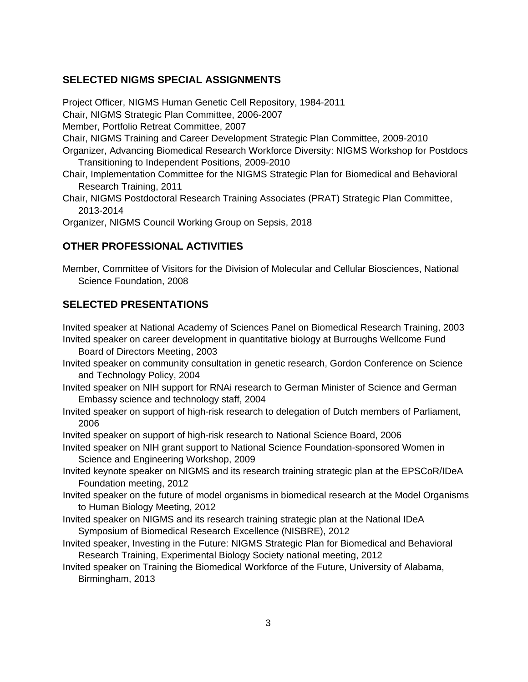### **SELECTED NIGMS SPECIAL ASSIGNMENTS**

Project Officer, NIGMS Human Genetic Cell Repository, 1984-2011 Chair, NIGMS Strategic Plan Committee, 2006-2007 Member, Portfolio Retreat Committee, 2007 Chair, NIGMS Training and Career Development Strategic Plan Committee, 2009-2010 Organizer, Advancing Biomedical Research Workforce Diversity: NIGMS Workshop for Postdocs Transitioning to Independent Positions, 2009-2010

- Chair, Implementation Committee for the NIGMS Strategic Plan for Biomedical and Behavioral Research Training, 2011
- Chair, NIGMS Postdoctoral Research Training Associates (PRAT) Strategic Plan Committee, 2013-2014

Organizer, NIGMS Council Working Group on Sepsis, 2018

#### **OTHER PROFESSIONAL ACTIVITIES**

Member, Committee of Visitors for the Division of Molecular and Cellular Biosciences, National Science Foundation, 2008

#### **SELECTED PRESENTATIONS**

Invited speaker at National Academy of Sciences Panel on Biomedical Research Training, 2003 Invited speaker on career development in quantitative biology at Burroughs Wellcome Fund

Board of Directors Meeting, 2003

- Invited speaker on community consultation in genetic research, Gordon Conference on Science and Technology Policy, 2004
- Invited speaker on NIH support for RNAi research to German Minister of Science and German Embassy science and technology staff, 2004
- Invited speaker on support of high-risk research to delegation of Dutch members of Parliament, 2006

Invited speaker on support of high-risk research to National Science Board, 2006

- Invited speaker on NIH grant support to National Science Foundation-sponsored Women in Science and Engineering Workshop, 2009
- Invited keynote speaker on NIGMS and its research training strategic plan at the EPSCoR/IDeA Foundation meeting, 2012
- Invited speaker on the future of model organisms in biomedical research at the Model Organisms to Human Biology Meeting, 2012
- Invited speaker on NIGMS and its research training strategic plan at the National IDeA Symposium of Biomedical Research Excellence (NISBRE), 2012
- Invited speaker, Investing in the Future: NIGMS Strategic Plan for Biomedical and Behavioral Research Training, Experimental Biology Society national meeting, 2012
- Invited speaker on Training the Biomedical Workforce of the Future, University of Alabama, Birmingham, 2013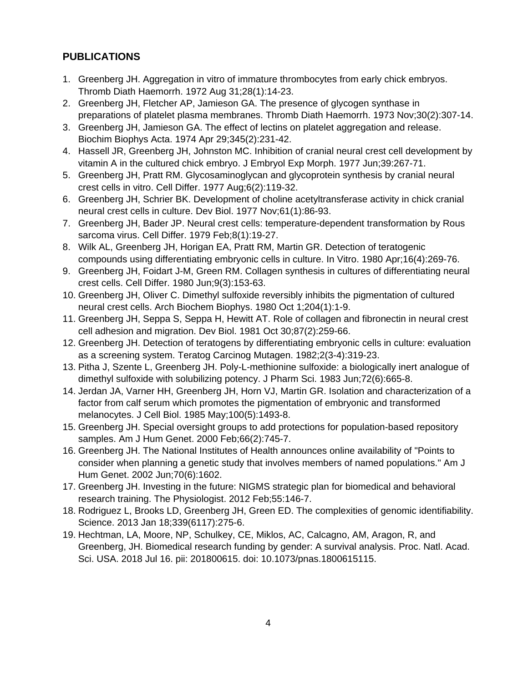# **PUBLICATIONS**

- 1. Greenberg JH. Aggregation in vitro of immature thrombocytes from early chick embryos. Thromb Diath Haemorrh. 1972 Aug 31;28(1):14-23.
- 2. Greenberg JH, Fletcher AP, Jamieson GA. The presence of glycogen synthase in preparations of platelet plasma membranes. Thromb Diath Haemorrh. 1973 Nov;30(2):307-14.
- 3. Greenberg JH, Jamieson GA. The effect of lectins on platelet aggregation and release. Biochim Biophys Acta. 1974 Apr 29;345(2):231-42.
- 4. Hassell JR, Greenberg JH, Johnston MC. Inhibition of cranial neural crest cell development by vitamin A in the cultured chick embryo. J Embryol Exp Morph. 1977 Jun;39:267-71.
- 5. Greenberg JH, Pratt RM. Glycosaminoglycan and glycoprotein synthesis by cranial neural crest cells in vitro. Cell Differ. 1977 Aug;6(2):119-32.
- 6. Greenberg JH, Schrier BK. Development of choline acetyltransferase activity in chick cranial neural crest cells in culture. Dev Biol. 1977 Nov;61(1):86-93.
- 7. Greenberg JH, Bader JP. Neural crest cells: temperature-dependent transformation by Rous sarcoma virus. Cell Differ. 1979 Feb;8(1):19-27.
- 8. Wilk AL, Greenberg JH, Horigan EA, Pratt RM, Martin GR. Detection of teratogenic compounds using differentiating embryonic cells in culture. In Vitro. 1980 Apr;16(4):269-76.
- 9. Greenberg JH, Foidart J-M, Green RM. Collagen synthesis in cultures of differentiating neural crest cells. Cell Differ. 1980 Jun;9(3):153-63.
- 10. Greenberg JH, Oliver C. Dimethyl sulfoxide reversibly inhibits the pigmentation of cultured neural crest cells. Arch Biochem Biophys. 1980 Oct 1;204(1):1-9.
- 11. Greenberg JH, Seppa S, Seppa H, Hewitt AT. Role of collagen and fibronectin in neural crest cell adhesion and migration. Dev Biol. 1981 Oct 30;87(2):259-66.
- 12. Greenberg JH. Detection of teratogens by differentiating embryonic cells in culture: evaluation as a screening system. Teratog Carcinog Mutagen. 1982;2(3-4):319-23.
- 13. Pitha J, Szente L, Greenberg JH. Poly-L-methionine sulfoxide: a biologically inert analogue of dimethyl sulfoxide with solubilizing potency. J Pharm Sci. 1983 Jun;72(6):665-8.
- 14. Jerdan JA, Varner HH, Greenberg JH, Horn VJ, Martin GR. Isolation and characterization of a factor from calf serum which promotes the pigmentation of embryonic and transformed melanocytes. J Cell Biol. 1985 May;100(5):1493-8.
- 15. Greenberg JH. Special oversight groups to add protections for population-based repository samples. Am J Hum Genet. 2000 Feb;66(2):745-7.
- 16. Greenberg JH. The National Institutes of Health announces online availability of "Points to consider when planning a genetic study that involves members of named populations." Am J Hum Genet. 2002 Jun;70(6):1602.
- 17. Greenberg JH. Investing in the future: NIGMS strategic plan for biomedical and behavioral research training. The Physiologist. 2012 Feb;55:146-7.
- 18. Rodriguez L, Brooks LD, Greenberg JH, Green ED. The complexities of genomic identifiability. Science. 2013 Jan 18;339(6117):275-6.
- 19. Hechtman, LA, Moore, NP, Schulkey, CE, Miklos, AC, Calcagno, AM, Aragon, R, and Greenberg, JH. Biomedical research funding by gender: A survival analysis. Proc. Natl. Acad. Sci. USA. 2018 Jul 16. pii: 201800615. doi: 10.1073/pnas.1800615115.